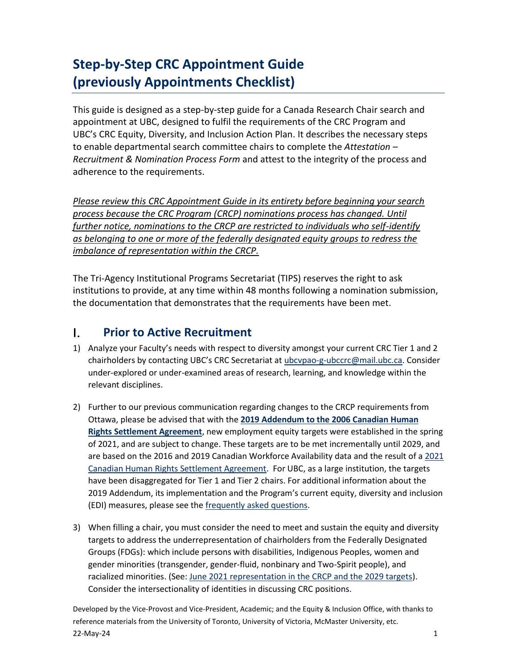# **Step-by-Step CRC Appointment Guide (previously Appointments Checklist)**

This guide is designed as a step-by-step guide for a Canada Research Chair search and appointment at UBC, designed to fulfil the requirements of the CRC Program and UBC's CRC Equity, Diversity, and Inclusion Action Plan. It describes the necessary steps to enable departmental search committee chairs to complete the *Attestation – Recruitment & Nomination Process Form* and attest to the integrity of the process and adherence to the requirements.

*Please review this CRC Appointment Guide in its entirety before beginning your search process because the CRC Program (CRCP) nominations process has changed. Until further notice, nominations to the CRCP are restricted to individuals who self-identify as belonging to one or more of the federally designated equity groups to redress the imbalance of representation within the CRCP.*

The Tri-Agency Institutional Programs Secretariat (TIPS) reserves the right to ask institutions to provide, at any time within 48 months following a nomination submission, the documentation that demonstrates that the requirements have been met.

#### L. **Prior to Active Recruitment**

- 1) Analyze your Faculty's needs with respect to diversity amongst your current CRC Tier 1 and 2 chairholders by contacting UBC's CRC Secretariat at [ubcvpao-g-ubccrc@mail.ubc.ca.](mailto:ubcvpao-g-ubccrc@mail.ubc.ca) Consider under-explored or under-examined areas of research, learning, and knowledge within the relevant disciplines.
- 2) Further to our previous communication regarding changes to the CRCP requirements from Ottawa, please be advised that with the **[2019 Addendum to the 2006 Canadian Human](http://www.chairs-chaires.gc.ca/program-programme/equity-equite/2019_addendum-eng.aspx)  [Rights Settlement Agreement](http://www.chairs-chaires.gc.ca/program-programme/equity-equite/2019_addendum-eng.aspx)**, new employment equity targets were established in the spring of 2021, and are subject to change. These targets are to be met incrementally until 2029, and are based on the 2016 and 2019 Canadian Workforce Availability data and the result of a [2021](https://www.chairs-chaires.gc.ca/program-programme/equity-equite/2021_settlement-reglement-eng.aspx)  Canadian Human [Rights Settlement Agreement.](https://www.chairs-chaires.gc.ca/program-programme/equity-equite/2021_settlement-reglement-eng.aspx) For UBC, as a large institution, the targets have been disaggregated for Tier 1 and Tier 2 chairs. For additional information about the 2019 Addendum, its implementation and the Program's current equity, diversity and inclusion (EDI) measures, please see the [frequently asked questions.](http://www.chairs-chaires.gc.ca/program-programme/equity-equite/faqs-questions_frequentes-eng.aspx)
- 3) When filling a chair, you must consider the need to meet and sustain the equity and diversity targets to address the underrepresentation of chairholders from the Federally Designated Groups (FDGs): which include persons with disabilities, Indigenous Peoples, women and gender minorities (transgender, gender-fluid, nonbinary and Two-Spirit people), and racialized minorities. (See: [June 2021 representation in the CRCP and the 2029 targets\)](https://www.chairs-chaires.gc.ca/program-programme/equity-equite/targets-cibles-eng.aspx). Consider the intersectionality of identities in discussing CRC positions.

Developed by the Vice-Provost and Vice-President, Academic; and the Equity & Inclusion Office, with thanks to reference materials from the University of Toronto, University of Victoria, McMaster University, etc.  $22$ -May-24  $1$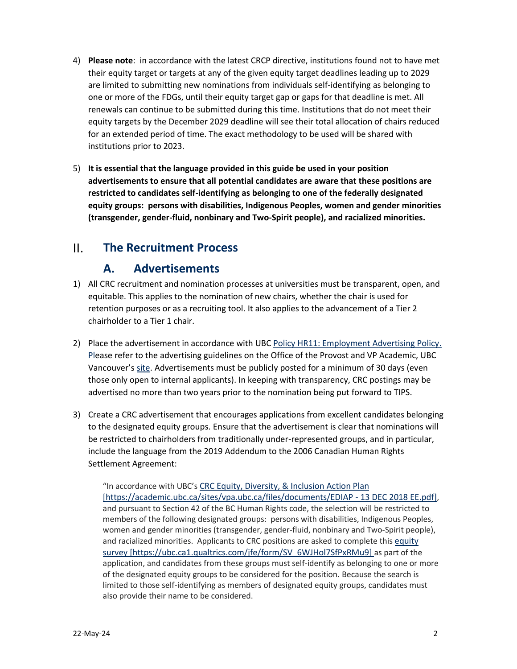- 4) **Please note**: in accordance with the latest CRCP directive, institutions found not to have met their equity target or targets at any of the given equity target deadlines leading up to 2029 are limited to submitting new nominations from individuals self-identifying as belonging to one or more of the FDGs, until their equity target gap or gaps for that deadline is met. All renewals can continue to be submitted during this time. Institutions that do not meet their equity targets by the December 2029 deadline will see their total allocation of chairs reduced for an extended period of time. The exact methodology to be used will be shared with institutions prior to 2023.
- 5) **It is essential that the language provided in this guide be used in your position advertisements to ensure that all potential candidates are aware that these positions are restricted to candidates self-identifying as belonging to one of the federally designated equity groups: persons with disabilities, Indigenous Peoples, women and gender minorities (transgender, gender-fluid, nonbinary and Two-Spirit people), and racialized minorities.**

### $\Pi$ . **The Recruitment Process**

## **A. Advertisements**

- 1) All CRC recruitment and nomination processes at universities must be transparent, open, and equitable. This applies to the nomination of new chairs, whether the chair is used for retention purposes or as a recruiting tool. It also applies to the advancement of a Tier 2 chairholder to a Tier 1 chair.
- 2) Place the advertisement in accordance with UBC Policy HR11: Employment Advertising Policy. [Ple](https://universitycounsel.ubc.ca/files/2017/06/policy20.pdf)ase refer to th[e advertising guidelines](http://www.hr.ubc.ca/faculty-relations/recruitment/advertising-guidelines/) on the Office of the Provost and VP Academic, UBC Vancouver's [site.](https://academic.ubc.ca/awards-funding/funding-opportunities/canada-research-chairs/ubcs-commitment-equity-diversity) Advertisements must be publicly posted for a minimum of 30 days (even those only open to internal applicants). In keeping with transparency, CRC postings may be advertised no more than two years prior to the nomination being put forward to TIPS.
- 3) Create a CRC advertisement that encourages applications from excellent candidates belonging to the designated equity groups. Ensure that the advertisement is clear that nominations will be restricted to chairholders from traditionally under-represented groups, and in particular, include the language from the 2019 Addendum to the 2006 Canadian Human Rights Settlement Agreement:

"In accordance with UBC's [CRC Equity, Diversity, & Inclusion Action Plan](https://academic.ubc.ca/sites/vpa.ubc.ca/files/documents/EDIAP%20-%2013%20DEC%202018%20EE.pdf) [https://academic.ubc.ca/sites/vpa.ubc.ca/files/documents/EDIAP - 13 DEC 2018 EE.pdf], and pursuant to Section 42 of the BC Human Rights code, the selection will be restricted to members of the following designated groups: persons with disabilities, Indigenous Peoples, women and gender minorities (transgender, gender-fluid, nonbinary and Two-Spirit people), and racialized minorities. Applicants to CRC positions are asked to complete this [equity](https://ubc.ca1.qualtrics.com/jfe/form/SV_6WJHol7SfPxRMu9)  [survey](https://ubc.ca1.qualtrics.com/jfe/form/SV_6WJHol7SfPxRMu9) [https://ubc.ca1.qualtrics.com/jfe/form/SV\_6WJHol7SfPxRMu9] as part of the application, and candidates from these groups must self-identify as belonging to one or more of the designated equity groups to be considered for the position. Because the search is limited to those self-identifying as members of designated equity groups, candidates must also provide their name to be considered.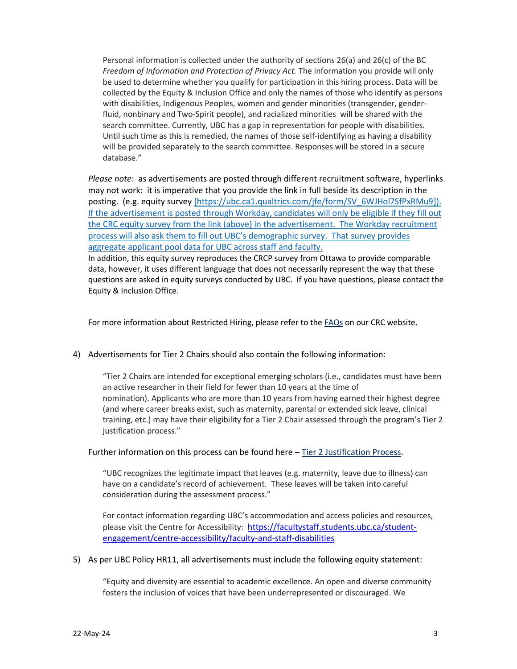Personal information is collected under the authority of sections 26(a) and 26(c) of the BC *Freedom of Information and Protection of Privacy Act.* The information you provide will only be used to determine whether you qualify for participation in this hiring process. Data will be collected by the Equity & Inclusion Office and only the names of those who identify as persons with disabilities, Indigenous Peoples, women and gender minorities (transgender, genderfluid, nonbinary and Two-Spirit people), and racialized minorities will be shared with the search committee. Currently, UBC has a gap in representation for people with disabilities. Until such time as this is remedied, the names of those self-identifying as having a disability will be provided separately to the search committee. Responses will be stored in a secure database."

*Please note*: as advertisements are posted through different recruitment software, hyperlinks may not work: it is imperative that you provide the link in full beside its description in the posting. (e.g. equity survey [https://ubc.ca1.qualtrics.com/jfe/form/SV\_6WJHol7SfPxRMu9]). If the advertisement is posted through Workday, candidates will only be eligible if they fill out the CRC equity survey from the link (above) in the advertisement. The Workday recruitment process will also ask them to fill out UBC's demographic survey. That survey provides aggregate applicant pool data for UBC across staff and faculty.

In addition, this equity survey reproduces the CRCP survey from Ottawa to provide comparable data, however, it uses different language that does not necessarily represent the way that these questions are asked in equity surveys conducted by UBC. If you have questions, please contact the Equity & Inclusion Office.

For more information about Restricted Hiring, please refer to the **FAQs** on our CRC website.

### 4) Advertisements for Tier 2 Chairs should also contain the following information:

"Tier 2 Chairs are intended for exceptional emerging scholars (i.e., candidates must have been an active researcher in their field for fewer than 10 years at the time of nomination). Applicants who are more than 10 years from having earned their highest degree (and where career breaks exist, such as maternity, parental or extended sick leave, clinical training, etc.) may have their eligibility for a Tier 2 Chair assessed through the program's [Tier](http://www.chairs-chaires.gc.ca/program-programme/nomination-mise_en_candidature-eng.aspx#s3) 2 [justification process](http://www.chairs-chaires.gc.ca/program-programme/nomination-mise_en_candidature-eng.aspx#s3)."

### Further information on this process can be found here – [Tier 2 Justification Process.](http://www.chairs-chaires.gc.ca/program-programme/nomination-mise_en_candidature-eng.aspx#s3)

"UBC recognizes the legitimate impact that leaves (e.g. maternity, leave due to illness) can have on a candidate's record of achievement. These leaves will be taken into careful consideration during the assessment process."

For contact information regarding UBC's accommodation and access policies and resources, please visit the Centre for Accessibility: [https://facultystaff.students.ubc.ca/student](https://facultystaff.students.ubc.ca/student-engagement/centre-accessibility/faculty-and-staff-disabilities)[engagement/centre-accessibility/faculty-and-staff-disabilities](https://facultystaff.students.ubc.ca/student-engagement/centre-accessibility/faculty-and-staff-disabilities)

### 5) As per UBC Policy HR11, all advertisements must include the following equity statement:

"Equity and diversity are essential to academic excellence. An open and diverse community fosters the inclusion of voices that have been underrepresented or discouraged. We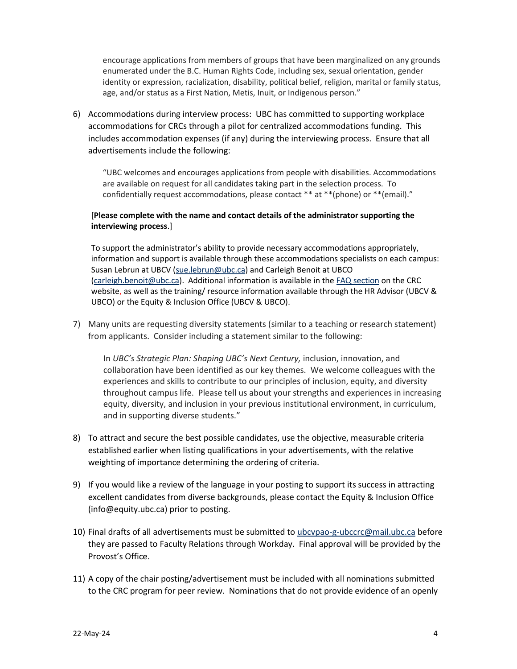encourage applications from members of groups that have been marginalized on any grounds enumerated under the B.C. Human Rights Code, including sex, sexual orientation, gender identity or expression, racialization, disability, political belief, religion, marital or family status, age, and/or status as a First Nation, Metis, Inuit, or Indigenous person."

6) Accommodations during interview process: UBC has committed to supporting workplace accommodations for CRCs through a pilot for centralized accommodations funding. This includes accommodation expenses (if any) during the interviewing process. Ensure that all advertisements include the following:

"UBC welcomes and encourages applications from people with disabilities. Accommodations are available on request for all candidates taking part in the selection process. To confidentially request accommodations, please contact \*\* at \*\*(phone) or \*\*(email)."

## [**Please complete with the name and contact details of the administrator supporting the interviewing process**.]

To support the administrator's ability to provide necessary accommodations appropriately, information and support is available through these accommodations specialists on each campus: Susan Lebrun at UBCV [\(sue.lebrun@ubc.ca\)](mailto:sue.lebrun@ubc.ca) and Carleigh Benoit at UBCO [\(carleigh.benoit@ubc.ca\)](mailto:carleigh.benoit@ubc.ca). Additional information is available in the [FAQ section](https://academic.ubc.ca/sites/vpa.ubc.ca/files/documents/FAQs%20-%20Restricted-Preferential%20Hiring%20Accommodations.final_.pdf) on the CRC website, as well as the training/ resource information available through the HR Advisor (UBCV & UBCO) or the Equity & Inclusion Office (UBCV & UBCO).

7) Many units are requesting diversity statements (similar to a teaching or research statement) from applicants. Consider including a statement similar to the following:

In *UBC's Strategic Plan: Shaping UBC's Next Century,* inclusion, innovation, and collaboration have been identified as our key themes. We welcome colleagues with the experiences and skills to contribute to our principles of inclusion, equity, and diversity throughout campus life. Please tell us about your strengths and experiences in increasing equity, diversity, and inclusion in your previous institutional environment, in curriculum, and in supporting diverse students."

- 8) To attract and secure the best possible candidates, use the objective, measurable criteria established earlier when listing qualifications in your advertisements, with the relative weighting of importance determining the ordering of criteria.
- 9) If you would like a review of the language in your posting to support its success in attracting excellent candidates from diverse backgrounds, please contact the Equity & Inclusion Office (info@equity.ubc.ca) prior to posting.
- 10) Final drafts of all advertisements must be submitted to [ubcvpao-g-ubccrc@mail.ubc.ca](mailto:ubcvpao-g-ubccrc@mail.ubc.ca) before they are passed to Faculty Relations through Workday. Final approval will be provided by the Provost's Office.
- 11) A copy of the chair posting/advertisement must be included with all nominations submitted to the CRC program for peer review. Nominations that do not provide evidence of an openly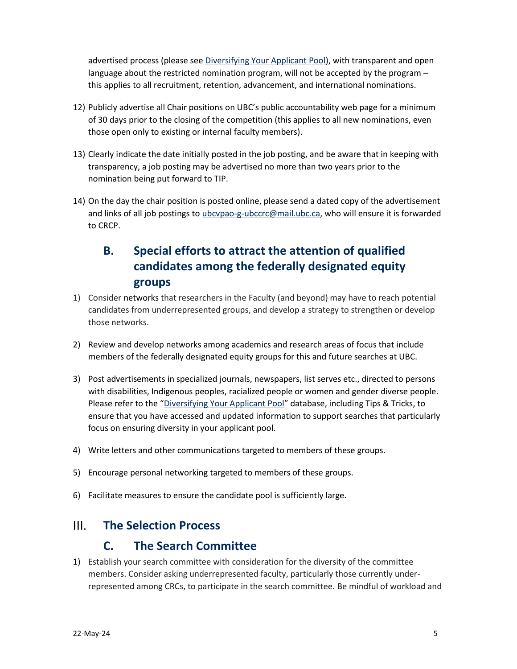advertised process (please see [Diversifying Your Applicant Pool\)](https://docs.google.com/spreadsheets/d/1Os2JRKsQ8HYhedttgt8-is0X3RD1NDNx0Ks2L2HYtSg/edit#gid=0), with transparent and open language about the restricted nomination program, will not be accepted by the program – this applies to all recruitment, retention, advancement, and international nominations.

- 12) Publicly advertise all Chair positions on UBC's public accountability web page for a minimum of 30 days prior to the closing of the competition (this applies to all new nominations, even those open only to existing or internal faculty members).
- 13) Clearly indicate the date initially posted in the job posting, and be aware that in keeping with transparency, a job posting may be advertised no more than two years prior to the nomination being put forward to TIP.
- 14) On the day the chair position is posted online, please send a dated copy of the advertisement and links of all job postings to *ubcvpao-g-ubccrc@mail.ubc.ca*, who will ensure it is forwarded to CRCP.

# **B. Special efforts to attract the attention of qualified candidates among the federally designated equity groups**

- 1) Consider networks that researchers in the Faculty (and beyond) may have to reach potential candidates from underrepresented groups, and develop a strategy to strengthen or develop those networks.
- 2) Review and develop networks among academics and research areas of focus that include members of the federally designated equity groups for this and future searches at UBC.
- 3) Post advertisements in specialized journals, newspapers, list serves etc., directed to persons with disabilities, Indigenous peoples, racialized people or women and gender diverse people. Please refer to the "[Diversifying Your Applicant Pool](https://docs.google.com/spreadsheets/d/1Os2JRKsQ8HYhedttgt8-is0X3RD1NDNx0Ks2L2HYtSg/edit?usp=sharing)" database, including Tips & Tricks, to ensure that you have accessed and updated information to support searches that particularly focus on ensuring diversity in your applicant pool.
- 4) Write letters and other communications targeted to members of these groups.
- 5) Encourage personal networking targeted to members of these groups.
- 6) Facilitate measures to ensure the candidate pool is sufficiently large.

#### $III.$ **The Selection Process**

## **C. The Search Committee**

1) Establish your search committee with consideration for the diversity of the committee members. Consider asking underrepresented faculty, particularly those currently underrepresented among CRCs, to participate in the search committee. Be mindful of workload and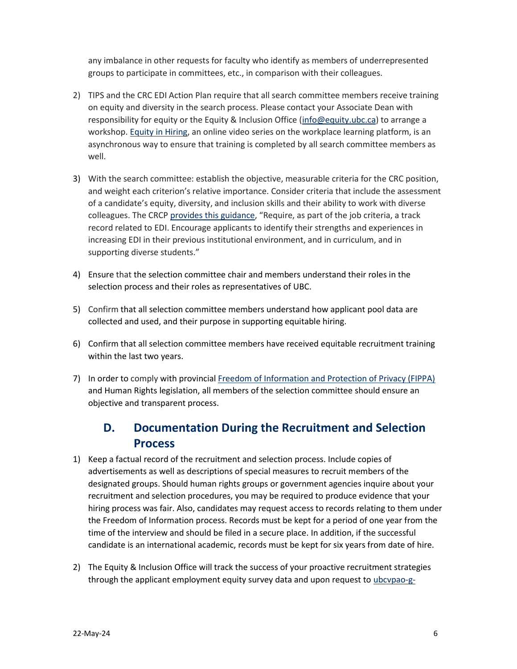any imbalance in other requests for faculty who identify as members of underrepresented groups to participate in committees, etc., in comparison with their colleagues.

- 2) TIPS and the CRC EDI Action Plan require that all search committee members receive training on equity and diversity in the search process. Please contact your Associate Dean with responsibility for equity or the Equity & Inclusion Office [\(info@equity.ubc.ca\)](mailto:info@equity.ubc.ca) to arrange a workshop. [Equity in Hiring,](https://wpl.ubc.ca/browse/equity-and-inclusion/courses/wpl-eio-he) an online video series on the workplace learning platform, is an asynchronous way to ensure that training is completed by all search committee members as well.
- 3) With the search committee: establish the objective, measurable criteria for the CRC position, and weight each criterion's relative importance. Consider criteria that include the assessment of a candidate's equity, diversity, and inclusion skills and their ability to work with diverse colleagues. The CRC[P provides this guidance](http://www.chairs-chaires.gc.ca/program-programme/equity-equite/best_practices-pratiques_examplaires-eng.aspx), "Require, as part of the job criteria, a track record related to EDI. Encourage applicants to identify their strengths and experiences in increasing EDI in their previous institutional environment, and in curriculum, and in supporting diverse students."
- 4) Ensure that the selection committee chair and members understand their roles in the selection process and their roles as representatives of UBC.
- 5) Confirm that all selection committee members understand how applicant pool data are collected and used, and their purpose in supporting equitable hiring.
- 6) Confirm that all selection committee members have received equitable recruitment training within the last two years.
- 7) In order to comply with provincial [Freedom of Information and Protection of Privacy \(FIPPA\)](http://www.oipc.bc.ca/) and Human Rights legislation, all members of the selection committee should ensure an objective and transparent process.

# **D. Documentation During the Recruitment and Selection Process**

- 1) Keep a factual record of the recruitment and selection process. Include copies of advertisements as well as descriptions of special measures to recruit members of the designated groups. Should human rights groups or government agencies inquire about your recruitment and selection procedures, you may be required to produce evidence that your hiring process was fair. Also, candidates may request access to records relating to them under the Freedom of Information process. Records must be kept for a period of one year from the time of the interview and should be filed in a secure place. In addition, if the successful candidate is an international academic, records must be kept for six years from date of hire.
- 2) The Equity & Inclusion Office will track the success of your proactive recruitment strategies through the applicant employment equity survey data and upon request to [ubcvpao-g-](mailto:ubcvpao-g-ubccrc@mail.ubc.ca)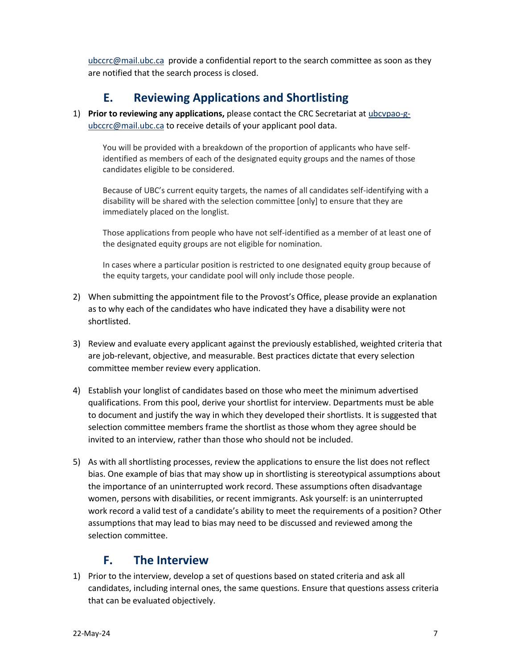[ubccrc@mail.ubc.ca](mailto:ubcvpao-g-ubccrc@mail.ubc.ca) provide a confidential report to the search committee as soon as they are notified that the search process is closed.

# **E. Reviewing Applications and Shortlisting**

1) **Prior to reviewing any applications,** please contact the CRC Secretariat at [ubcvpao-g](mailto:ubcvpao-g-ubccrc@mail.ubc.ca)[ubccrc@mail.ubc.ca](mailto:ubcvpao-g-ubccrc@mail.ubc.ca) to receive details of your applicant pool data.

You will be provided with a breakdown of the proportion of applicants who have selfidentified as members of each of the designated equity groups and the names of those candidates eligible to be considered.

Because of UBC's current equity targets, the names of all candidates self-identifying with a disability will be shared with the selection committee [only] to ensure that they are immediately placed on the longlist.

Those applications from people who have not self-identified as a member of at least one of the designated equity groups are not eligible for nomination.

In cases where a particular position is restricted to one designated equity group because of the equity targets, your candidate pool will only include those people.

- 2) When submitting the appointment file to the Provost's Office, please provide an explanation as to why each of the candidates who have indicated they have a disability were not shortlisted.
- 3) Review and evaluate every applicant against the previously established, weighted criteria that are job-relevant, objective, and measurable. Best practices dictate that every selection committee member review every application.
- 4) Establish your longlist of candidates based on those who meet the minimum advertised qualifications. From this pool, derive your shortlist for interview. Departments must be able to document and justify the way in which they developed their shortlists. It is suggested that selection committee members frame the shortlist as those whom they agree should be invited to an interview, rather than those who should not be included.
- 5) As with all shortlisting processes, review the applications to ensure the list does not reflect bias. One example of bias that may show up in shortlisting is stereotypical assumptions about the importance of an uninterrupted work record. These assumptions often disadvantage women, persons with disabilities, or recent immigrants. Ask yourself: is an uninterrupted work record a valid test of a candidate's ability to meet the requirements of a position? Other assumptions that may lead to bias may need to be discussed and reviewed among the selection committee.

## **F. The Interview**

1) Prior to the interview, develop a set of questions based on stated criteria and ask all candidates, including internal ones, the same questions. Ensure that questions assess criteria that can be evaluated objectively.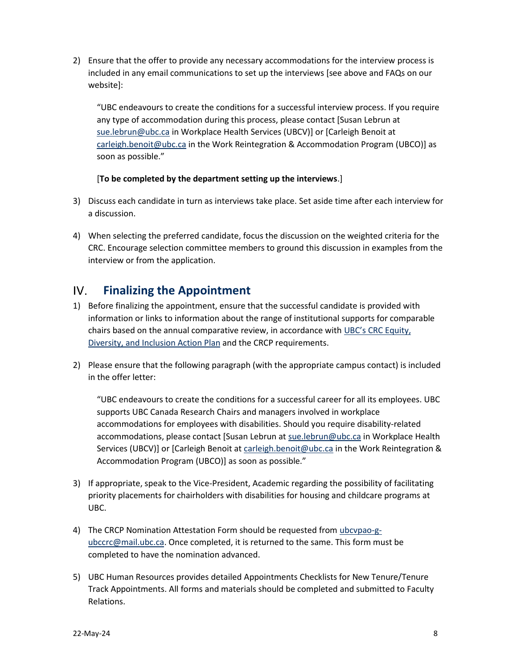2) Ensure that the offer to provide any necessary accommodations for the interview process is included in any email communications to set up the interviews [see above and FAQs on our website]:

"UBC endeavours to create the conditions for a successful interview process. If you require any type of accommodation during this process, please contact [Susan Lebrun at [sue.lebrun@ubc.ca](mailto:sue.lebrun@ubc.ca) in Workplace Health Services (UBCV)] or [Carleigh Benoit at [carleigh.benoit@ubc.ca](mailto:carleigh.benoit@ubc.ca) in the Work Reintegration & Accommodation Program (UBCO)] as soon as possible."

## [**To be completed by the department setting up the interviews**.]

- 3) Discuss each candidate in turn as interviews take place. Set aside time after each interview for a discussion.
- 4) When selecting the preferred candidate, focus the discussion on the weighted criteria for the CRC. Encourage selection committee members to ground this discussion in examples from the interview or from the application.

### IV. **Finalizing the Appointment**

- 1) Before finalizing the appointment, ensure that the successful candidate is provided with information or links to information about the range of institutional supports for comparable chairs based on the annual comparative review, in accordance with [UBC's CRC Equity,](https://academic.ubc.ca/sites/vpa.ubc.ca/files/documents/EDIAP%20-%2013%20DEC%202018%20EE.pdf)  [Diversity, and Inclusion Action Plan](https://academic.ubc.ca/sites/vpa.ubc.ca/files/documents/EDIAP%20-%2013%20DEC%202018%20EE.pdf) and the CRCP requirements.
- 2) Please ensure that the following paragraph (with the appropriate campus contact) is included in the offer letter:

"UBC endeavours to create the conditions for a successful career for all its employees. UBC supports UBC Canada Research Chairs and managers involved in workplace accommodations for employees with disabilities. Should you require disability-related accommodations, please contact [Susan Lebrun at [sue.lebrun@ubc.ca](mailto:sue.lebrun@ubc.ca) in Workplace Health Services (UBCV)] or [Carleigh Benoit at [carleigh.benoit@ubc.ca](mailto:carleigh.benoit@ubc.ca) in the Work Reintegration & Accommodation Program (UBCO)] as soon as possible."

- 3) If appropriate, speak to the Vice-President, Academic regarding the possibility of facilitating priority placements for chairholders with disabilities for housing and childcare programs at UBC.
- 4) The CRCP Nomination Attestation Form should be requested from [ubcvpao-g](mailto:ubcvpao-g-ubccrc@mail.ubc.ca)[ubccrc@mail.ubc.ca.](mailto:ubcvpao-g-ubccrc@mail.ubc.ca) Once completed, it is returned to the same. This form must be completed to have the nomination advanced.
- 5) UBC Human Resources provides detailed [Appointments Checklists for New Tenure/Tenure](http://www.hr.ubc.ca/faculty-relations/appointment/appointment-checklist/#1)  [Track Appointments.](http://www.hr.ubc.ca/faculty-relations/appointment/appointment-checklist/#1) All forms and materials should be completed and submitted to Faculty Relations.